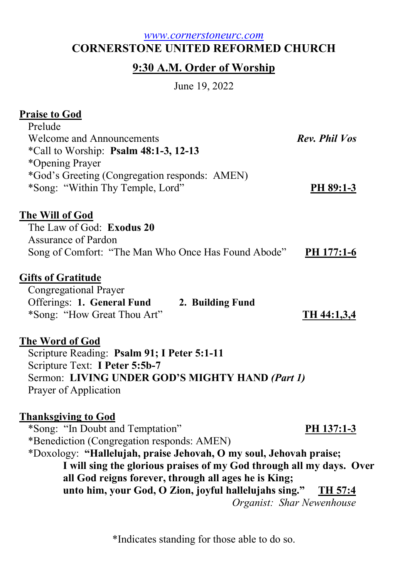## www.cornerstoneurc.com CORNERSTONE UNITED REFORMED CHURCH

# 9:30 A.M. Order of Worship

June 19, 2022

# Praise to God

| Prelude                                             |               |
|-----------------------------------------------------|---------------|
| <b>Welcome and Announcements</b>                    | Rev. Phil Vos |
| *Call to Worship: Psalm 48:1-3, 12-13               |               |
| *Opening Prayer                                     |               |
| *God's Greeting (Congregation responds: AMEN)       |               |
| *Song: "Within Thy Temple, Lord"                    | $PH 89:1-3$   |
|                                                     |               |
| <u>The Will of God</u>                              |               |
| The Law of God: Exodus 20                           |               |
| Assurance of Pardon                                 |               |
| Song of Comfort: "The Man Who Once Has Found Abode" | PH 177:1-6    |
|                                                     |               |
| <b>Gifts of Gratitude</b>                           |               |
| Congregational Prayer                               |               |
| Offerings: 1. General Fund<br>2. Building Fund      |               |
| *Song: "How Great Thou Art"                         | TH 44:1,3,4   |
|                                                     |               |
| The Word of God                                     |               |
| Scripture Reading: Psalm 91; I Peter 5:1-11         |               |
| Scripture Text: I Peter 5:5b-7                      |               |
| Sermon: LIVING UNDER GOD'S MIGHTY HAND (Part 1)     |               |
| Prayer of Application                               |               |
|                                                     |               |
| <b>Thanksgiving to God</b>                          |               |
| *Song: "In Doubt and Temptation"                    | PH 137:1-3    |
| *Benediction (Congregation responds: AMEN)          |               |

\*Doxology: "Hallelujah, praise Jehovah, O my soul, Jehovah praise; I will sing the glorious praises of my God through all my days. Over all God reigns forever, through all ages he is King; unto him, your God, O Zion, joyful hallelujahs sing." TH 57:4

Organist: Shar Newenhouse